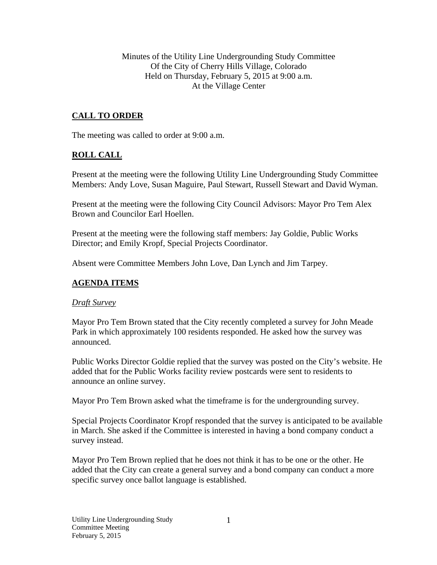Minutes of the Utility Line Undergrounding Study Committee Of the City of Cherry Hills Village, Colorado Held on Thursday, February 5, 2015 at 9:00 a.m. At the Village Center

# **CALL TO ORDER**

The meeting was called to order at 9:00 a.m.

## **ROLL CALL**

Present at the meeting were the following Utility Line Undergrounding Study Committee Members: Andy Love, Susan Maguire, Paul Stewart, Russell Stewart and David Wyman.

Present at the meeting were the following City Council Advisors: Mayor Pro Tem Alex Brown and Councilor Earl Hoellen.

Present at the meeting were the following staff members: Jay Goldie, Public Works Director; and Emily Kropf, Special Projects Coordinator.

Absent were Committee Members John Love, Dan Lynch and Jim Tarpey.

### **AGENDA ITEMS**

### *Draft Survey*

Mayor Pro Tem Brown stated that the City recently completed a survey for John Meade Park in which approximately 100 residents responded. He asked how the survey was announced.

Public Works Director Goldie replied that the survey was posted on the City's website. He added that for the Public Works facility review postcards were sent to residents to announce an online survey.

Mayor Pro Tem Brown asked what the timeframe is for the undergrounding survey.

Special Projects Coordinator Kropf responded that the survey is anticipated to be available in March. She asked if the Committee is interested in having a bond company conduct a survey instead.

Mayor Pro Tem Brown replied that he does not think it has to be one or the other. He added that the City can create a general survey and a bond company can conduct a more specific survey once ballot language is established.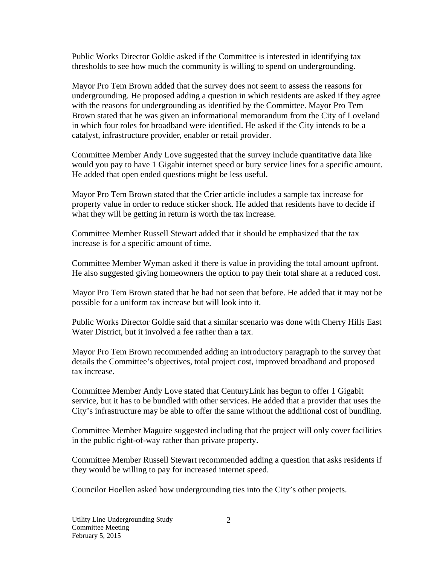Public Works Director Goldie asked if the Committee is interested in identifying tax thresholds to see how much the community is willing to spend on undergrounding.

Mayor Pro Tem Brown added that the survey does not seem to assess the reasons for undergrounding. He proposed adding a question in which residents are asked if they agree with the reasons for undergrounding as identified by the Committee. Mayor Pro Tem Brown stated that he was given an informational memorandum from the City of Loveland in which four roles for broadband were identified. He asked if the City intends to be a catalyst, infrastructure provider, enabler or retail provider.

Committee Member Andy Love suggested that the survey include quantitative data like would you pay to have 1 Gigabit internet speed or bury service lines for a specific amount. He added that open ended questions might be less useful.

Mayor Pro Tem Brown stated that the Crier article includes a sample tax increase for property value in order to reduce sticker shock. He added that residents have to decide if what they will be getting in return is worth the tax increase.

Committee Member Russell Stewart added that it should be emphasized that the tax increase is for a specific amount of time.

Committee Member Wyman asked if there is value in providing the total amount upfront. He also suggested giving homeowners the option to pay their total share at a reduced cost.

Mayor Pro Tem Brown stated that he had not seen that before. He added that it may not be possible for a uniform tax increase but will look into it.

Public Works Director Goldie said that a similar scenario was done with Cherry Hills East Water District, but it involved a fee rather than a tax.

Mayor Pro Tem Brown recommended adding an introductory paragraph to the survey that details the Committee's objectives, total project cost, improved broadband and proposed tax increase.

Committee Member Andy Love stated that CenturyLink has begun to offer 1 Gigabit service, but it has to be bundled with other services. He added that a provider that uses the City's infrastructure may be able to offer the same without the additional cost of bundling.

Committee Member Maguire suggested including that the project will only cover facilities in the public right-of-way rather than private property.

Committee Member Russell Stewart recommended adding a question that asks residents if they would be willing to pay for increased internet speed.

Councilor Hoellen asked how undergrounding ties into the City's other projects.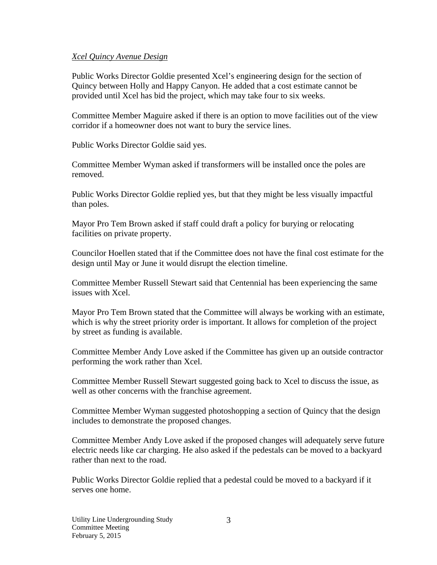#### *Xcel Quincy Avenue Design*

Public Works Director Goldie presented Xcel's engineering design for the section of Quincy between Holly and Happy Canyon. He added that a cost estimate cannot be provided until Xcel has bid the project, which may take four to six weeks.

Committee Member Maguire asked if there is an option to move facilities out of the view corridor if a homeowner does not want to bury the service lines.

Public Works Director Goldie said yes.

Committee Member Wyman asked if transformers will be installed once the poles are removed.

Public Works Director Goldie replied yes, but that they might be less visually impactful than poles.

Mayor Pro Tem Brown asked if staff could draft a policy for burying or relocating facilities on private property.

Councilor Hoellen stated that if the Committee does not have the final cost estimate for the design until May or June it would disrupt the election timeline.

Committee Member Russell Stewart said that Centennial has been experiencing the same issues with Xcel.

Mayor Pro Tem Brown stated that the Committee will always be working with an estimate, which is why the street priority order is important. It allows for completion of the project by street as funding is available.

Committee Member Andy Love asked if the Committee has given up an outside contractor performing the work rather than Xcel.

Committee Member Russell Stewart suggested going back to Xcel to discuss the issue, as well as other concerns with the franchise agreement.

Committee Member Wyman suggested photoshopping a section of Quincy that the design includes to demonstrate the proposed changes.

Committee Member Andy Love asked if the proposed changes will adequately serve future electric needs like car charging. He also asked if the pedestals can be moved to a backyard rather than next to the road.

Public Works Director Goldie replied that a pedestal could be moved to a backyard if it serves one home.